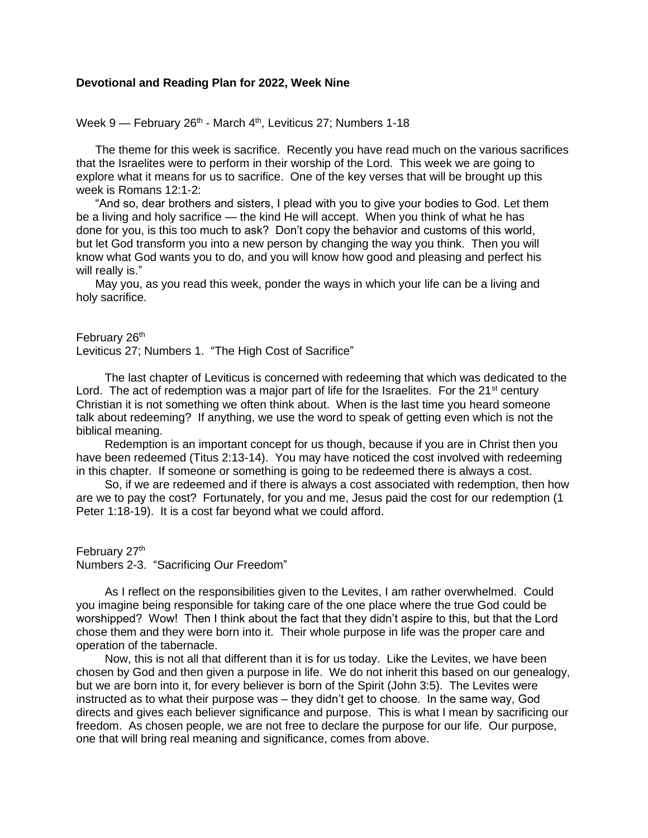## **Devotional and Reading Plan for 2022, Week Nine**

Week 9 — February 26<sup>th</sup> - March 4<sup>th</sup>, Leviticus 27; Numbers 1-18

The theme for this week is sacrifice. Recently you have read much on the various sacrifices that the Israelites were to perform in their worship of the Lord. This week we are going to explore what it means for us to sacrifice. One of the key verses that will be brought up this week is Romans 12:1-2:

"And so, dear brothers and sisters, I plead with you to give your bodies to God. Let them be a living and holy sacrifice — the kind He will accept. When you think of what he has done for you, is this too much to ask? Don't copy the behavior and customs of this world, but let God transform you into a new person by changing the way you think. Then you will know what God wants you to do, and you will know how good and pleasing and perfect his will really is."

May you, as you read this week, ponder the ways in which your life can be a living and holy sacrifice.

February 26<sup>th</sup> Leviticus 27; Numbers 1. "The High Cost of Sacrifice"

The last chapter of Leviticus is concerned with redeeming that which was dedicated to the Lord. The act of redemption was a major part of life for the Israelites. For the  $21<sup>st</sup>$  century Christian it is not something we often think about. When is the last time you heard someone talk about redeeming? If anything, we use the word to speak of getting even which is not the biblical meaning.

Redemption is an important concept for us though, because if you are in Christ then you have been redeemed (Titus 2:13-14). You may have noticed the cost involved with redeeming in this chapter. If someone or something is going to be redeemed there is always a cost.

So, if we are redeemed and if there is always a cost associated with redemption, then how are we to pay the cost? Fortunately, for you and me, Jesus paid the cost for our redemption (1 Peter 1:18-19). It is a cost far beyond what we could afford.

February 27<sup>th</sup> Numbers 2-3. "Sacrificing Our Freedom"

As I reflect on the responsibilities given to the Levites, I am rather overwhelmed. Could you imagine being responsible for taking care of the one place where the true God could be worshipped? Wow! Then I think about the fact that they didn't aspire to this, but that the Lord chose them and they were born into it. Their whole purpose in life was the proper care and operation of the tabernacle.

Now, this is not all that different than it is for us today. Like the Levites, we have been chosen by God and then given a purpose in life. We do not inherit this based on our genealogy, but we are born into it, for every believer is born of the Spirit (John 3:5). The Levites were instructed as to what their purpose was – they didn't get to choose. In the same way, God directs and gives each believer significance and purpose. This is what I mean by sacrificing our freedom. As chosen people, we are not free to declare the purpose for our life. Our purpose, one that will bring real meaning and significance, comes from above.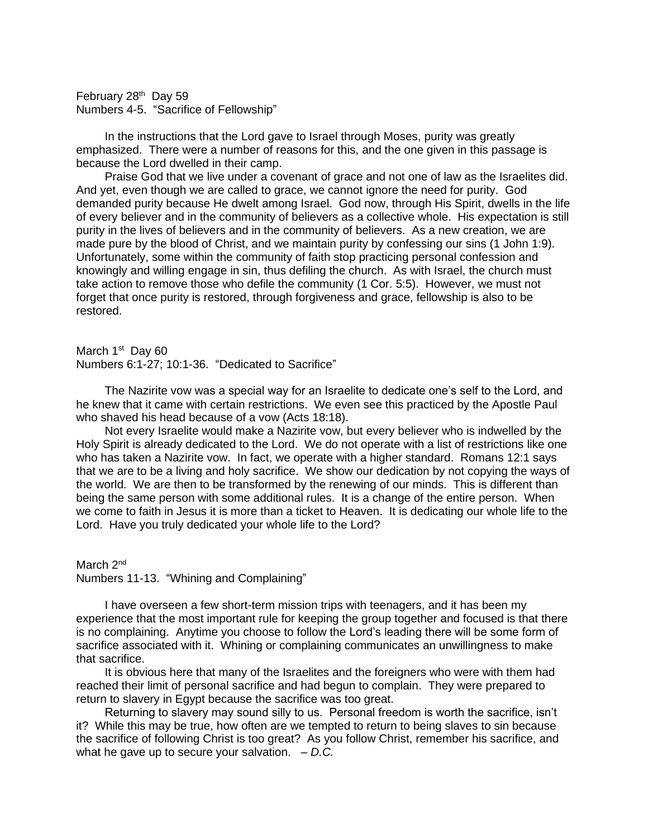February 28<sup>th</sup> Day 59 Numbers 4-5. "Sacrifice of Fellowship"

In the instructions that the Lord gave to Israel through Moses, purity was greatly emphasized. There were a number of reasons for this, and the one given in this passage is because the Lord dwelled in their camp.

Praise God that we live under a covenant of grace and not one of law as the Israelites did. And yet, even though we are called to grace, we cannot ignore the need for purity. God demanded purity because He dwelt among Israel. God now, through His Spirit, dwells in the life of every believer and in the community of believers as a collective whole. His expectation is still purity in the lives of believers and in the community of believers. As a new creation, we are made pure by the blood of Christ, and we maintain purity by confessing our sins (1 John 1:9). Unfortunately, some within the community of faith stop practicing personal confession and knowingly and willing engage in sin, thus defiling the church. As with Israel, the church must take action to remove those who defile the community (1 Cor. 5:5). However, we must not forget that once purity is restored, through forgiveness and grace, fellowship is also to be restored.

March 1<sup>st</sup> Day 60 Numbers 6:1-27; 10:1-36. "Dedicated to Sacrifice"

The Nazirite vow was a special way for an Israelite to dedicate one's self to the Lord, and he knew that it came with certain restrictions. We even see this practiced by the Apostle Paul who shaved his head because of a vow (Acts 18:18).

Not every Israelite would make a Nazirite vow, but every believer who is indwelled by the Holy Spirit is already dedicated to the Lord. We do not operate with a list of restrictions like one who has taken a Nazirite vow. In fact, we operate with a higher standard. Romans 12:1 says that we are to be a living and holy sacrifice. We show our dedication by not copying the ways of the world. We are then to be transformed by the renewing of our minds. This is different than being the same person with some additional rules. It is a change of the entire person. When we come to faith in Jesus it is more than a ticket to Heaven. It is dedicating our whole life to the Lord. Have you truly dedicated your whole life to the Lord?

March 2<sup>nd</sup> Numbers 11-13. "Whining and Complaining"

I have overseen a few short-term mission trips with teenagers, and it has been my experience that the most important rule for keeping the group together and focused is that there is no complaining. Anytime you choose to follow the Lord's leading there will be some form of sacrifice associated with it. Whining or complaining communicates an unwillingness to make that sacrifice.

It is obvious here that many of the Israelites and the foreigners who were with them had reached their limit of personal sacrifice and had begun to complain. They were prepared to return to slavery in Egypt because the sacrifice was too great.

Returning to slavery may sound silly to us. Personal freedom is worth the sacrifice, isn't it? While this may be true, how often are we tempted to return to being slaves to sin because the sacrifice of following Christ is too great? As you follow Christ, remember his sacrifice, and what he gave up to secure your salvation. – *D.C.*